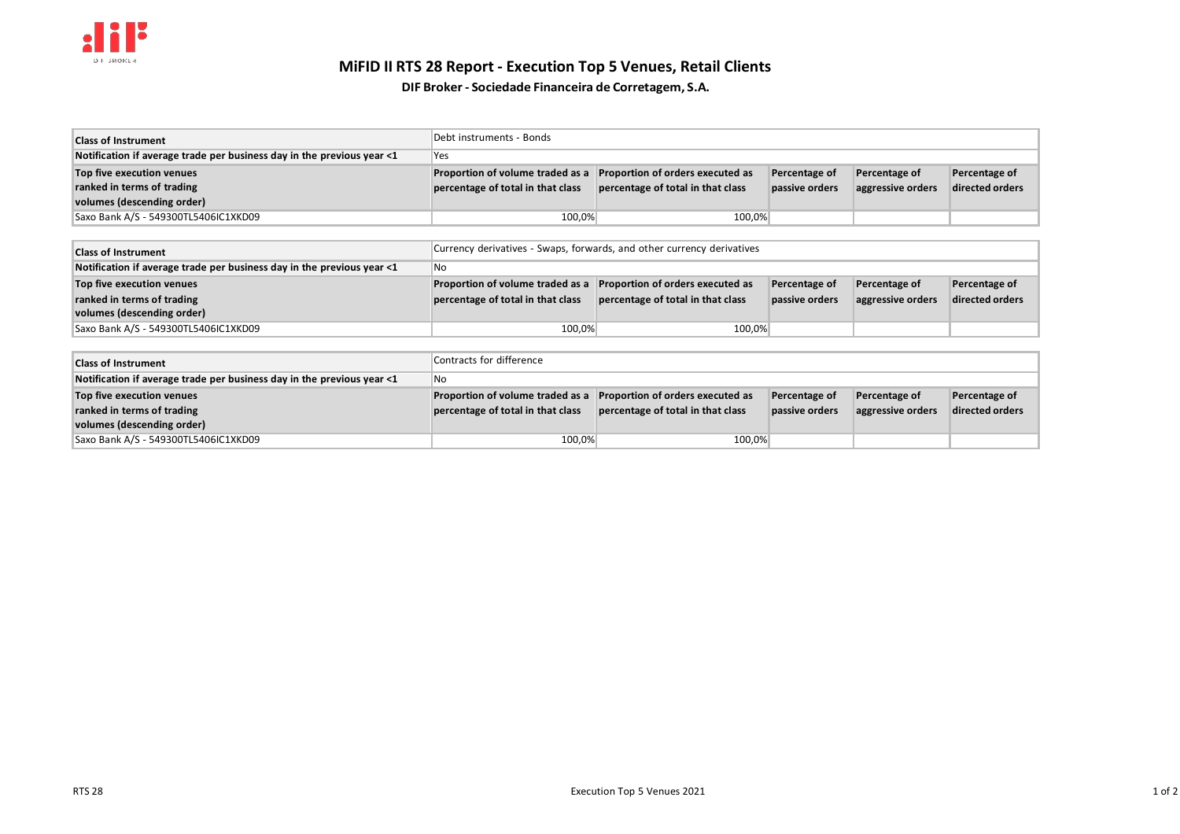

# **MiFID II RTS 28 Report - Execution Top 5 Venues, Retail Clients**

**DIF Broker- Sociedade Financeira de Corretagem, S.A.**

| <b>Class of Instrument</b>                                             | "Debt instruments - Bonds         |                                   |                |                   |                 |
|------------------------------------------------------------------------|-----------------------------------|-----------------------------------|----------------|-------------------|-----------------|
| Notification if average trade per business day in the previous year <1 | <b>Yes</b>                        |                                   |                |                   |                 |
| Top five execution venues                                              | Proportion of volume traded as a  | Proportion of orders executed as  | Percentage of  | Percentage of     | Percentage of   |
| ranked in terms of trading                                             | percentage of total in that class | percentage of total in that class | passive orders | aggressive orders | directed orders |
| volumes (descending order)                                             |                                   |                                   |                |                   |                 |
| Saxo Bank A/S - 549300TL5406IC1XKD09                                   | 100,0%                            | 100,0%                            |                |                   |                 |

| <b>Class of Instrument</b>                                             | Currency derivatives - Swaps, forwards, and other currency derivatives |                                   |                |                   |                 |
|------------------------------------------------------------------------|------------------------------------------------------------------------|-----------------------------------|----------------|-------------------|-----------------|
| Notification if average trade per business day in the previous year <1 | No                                                                     |                                   |                |                   |                 |
| Top five execution venues                                              | Proportion of volume traded as a                                       | Proportion of orders executed as  | Percentage of  | Percentage of     | Percentage of   |
| ranked in terms of trading                                             | percentage of total in that class                                      | percentage of total in that class | passive orders | aggressive orders | directed orders |
| volumes (descending order)                                             |                                                                        |                                   |                |                   |                 |
| Saxo Bank A/S - 549300TL5406IC1XKD09                                   | 100,0%                                                                 | 100,0%                            |                |                   |                 |

| <b>Class of Instrument</b>                                             | Contracts for difference          |                                   |                |                   |                 |
|------------------------------------------------------------------------|-----------------------------------|-----------------------------------|----------------|-------------------|-----------------|
| Notification if average trade per business day in the previous year <1 | l No                              |                                   |                |                   |                 |
| Top five execution venues                                              | Proportion of volume traded as a  | Proportion of orders executed as  | Percentage of  | Percentage of     | Percentage of   |
| ranked in terms of trading                                             | percentage of total in that class | percentage of total in that class | passive orders | aggressive orders | directed orders |
| volumes (descending order)                                             |                                   |                                   |                |                   |                 |
| Saxo Bank A/S - 549300TL5406IC1XKD09                                   | 100,0%                            | 100,0%                            |                |                   |                 |